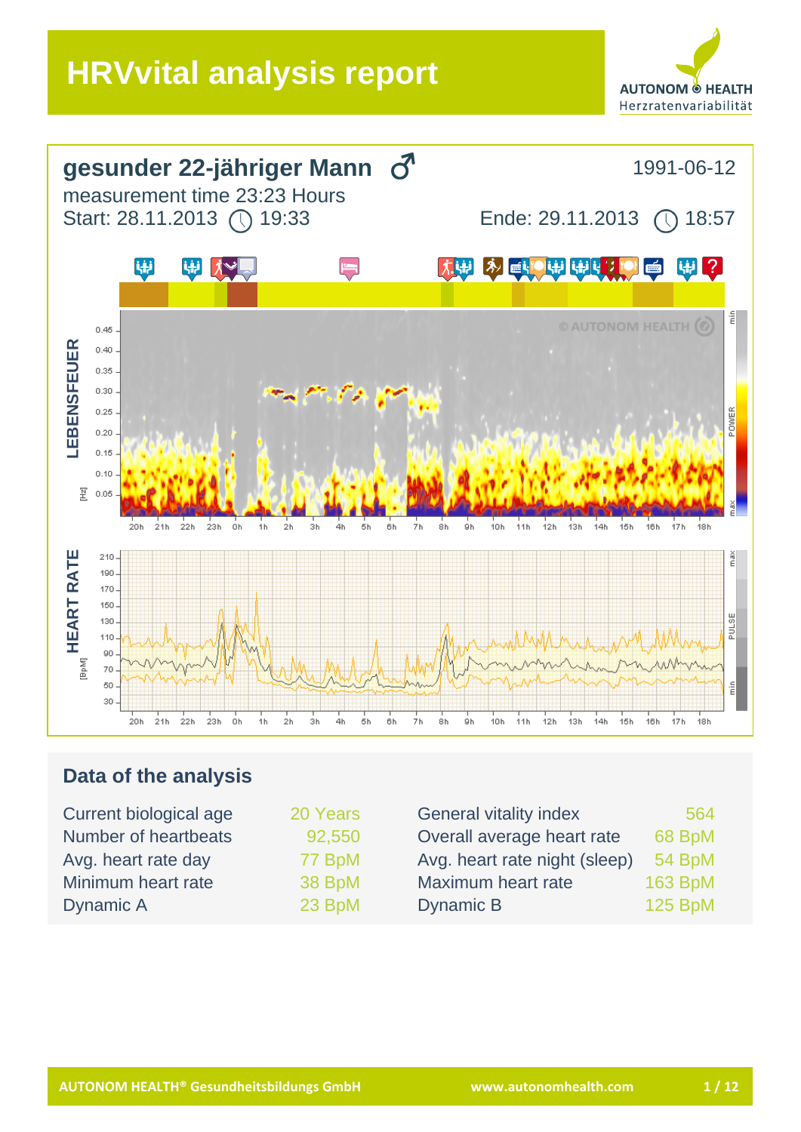



## **Data of the analysis**

| 20 Years | <b>General vitality index</b> | 564            |
|----------|-------------------------------|----------------|
| 92,550   | Overall average heart rate    | 68 BpM         |
| 77 BpM   | Avg. heart rate night (sleep) | 54 BpM         |
| 38 BpM   | Maximum heart rate            | <b>163 BpM</b> |
| 23 BpM   | Dynamic B                     | <b>125 BpM</b> |
|          |                               |                |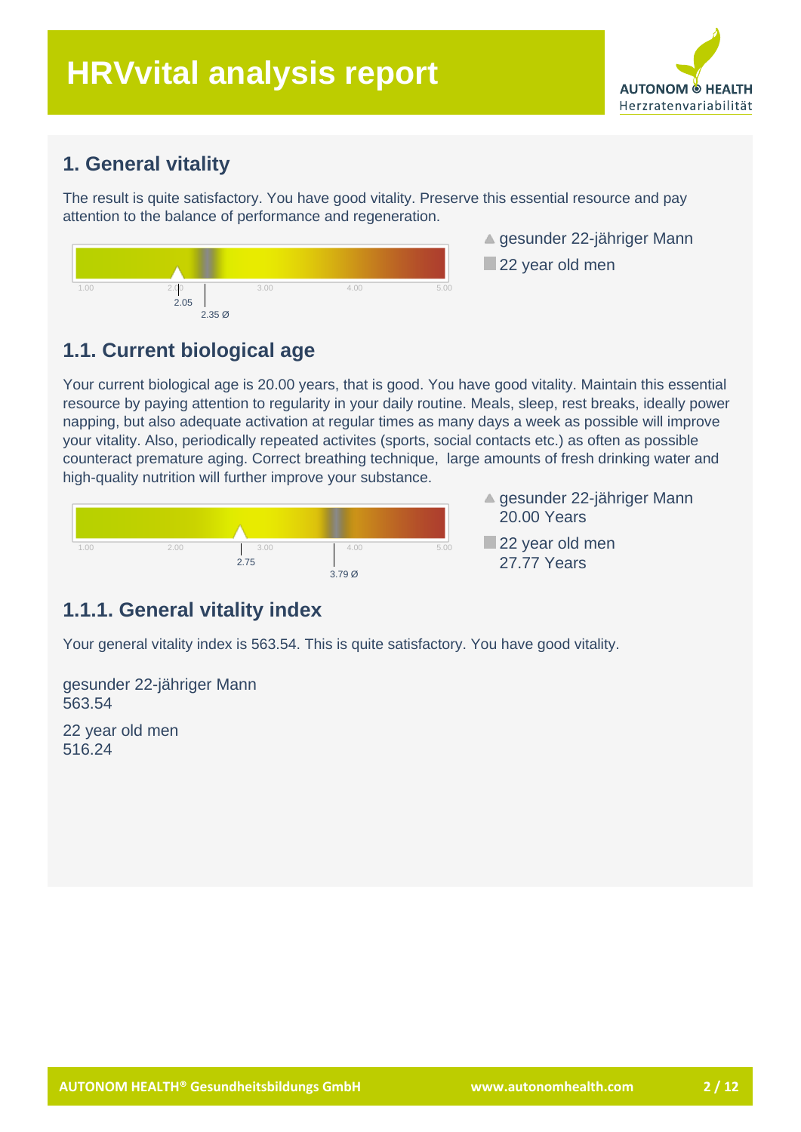# **HRVvital analysis report**



#### **1. General vitality**

The result is quite satisfactory. You have good vitality. Preserve this essential resource and pay attention to the balance of performance and regeneration.



- ▲ gesunder 22-jähriger Mann
- 22 year old men

## **1.1. Current biological age**

Your current biological age is 20.00 years, that is good. You have good vitality. Maintain this essential resource by paying attention to regularity in your daily routine. Meals, sleep, rest breaks, ideally power napping, but also adequate activation at regular times as many days a week as possible will improve your vitality. Also, periodically repeated activites (sports, social contacts etc.) as often as possible counteract premature aging. Correct breathing technique, large amounts of fresh drinking water and high-quality nutrition will further improve your substance.



- **▲ gesunder 22-jähriger Mann** 20.00 Years
- 22 year old men 27.77 Years

#### **1.1.1. General vitality index**

Your general vitality index is 563.54. This is quite satisfactory. You have good vitality.

gesunder 22-jähriger Mann 563.54

22 year old men 516.24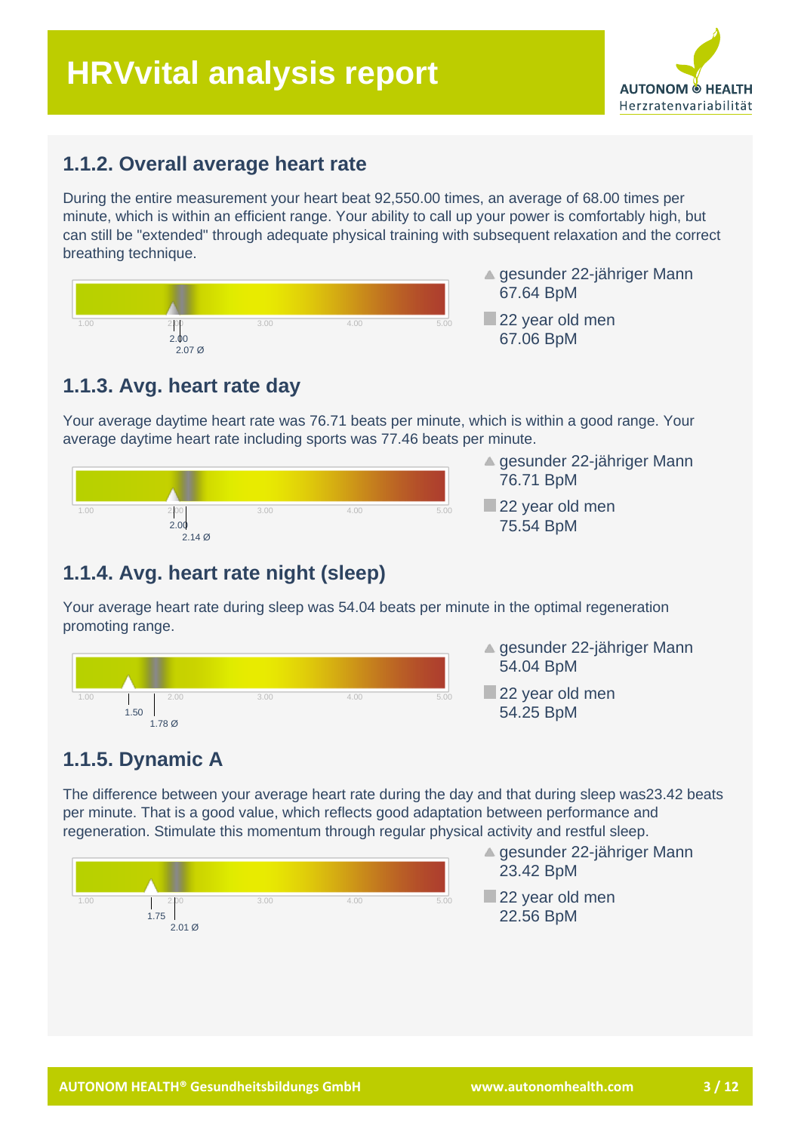# **HRVvital analysis report**



#### **1.1.2. Overall average heart rate**

During the entire measurement your heart beat 92,550.00 times, an average of 68.00 times per minute, which is within an efficient range. Your ability to call up your power is comfortably high, but can still be "extended" through adequate physical training with subsequent relaxation and the correct breathing technique.



- **▲ gesunder 22-jähriger Mann** 67.64 BpM
- 22 year old men 67.06 BpM

## **1.1.3. Avg. heart rate day**

Your average daytime heart rate was 76.71 beats per minute, which is within a good range. Your average daytime heart rate including sports was 77.46 beats per minute.



- ▲ gesunder 22-jähriger Mann 76.71 BpM
- 22 year old men 75.54 BpM

## **1.1.4. Avg. heart rate night (sleep)**

Your average heart rate during sleep was 54.04 beats per minute in the optimal regeneration promoting range.



- **▲ gesunder 22-jähriger Mann** 54.04 BpM
- 22 year old men 54.25 BpM

## **1.1.5. Dynamic A**

The difference between your average heart rate during the day and that during sleep was23.42 beats per minute. That is a good value, which reflects good adaptation between performance and regeneration. Stimulate this momentum through regular physical activity and restful sleep.



- **▲ gesunder 22-jähriger Mann** 23.42 BpM
- 22 year old men 22.56 BpM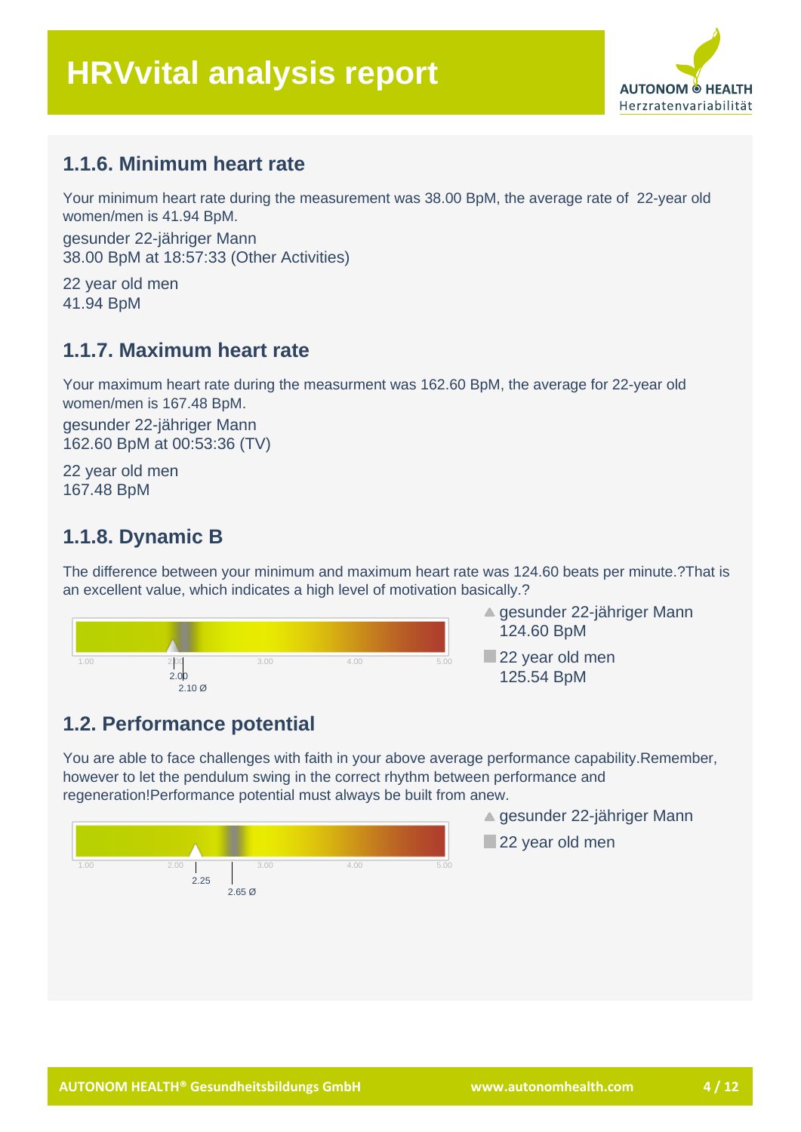

#### **1.1.6. Minimum heart rate**

Your minimum heart rate during the measurement was 38.00 BpM, the average rate of 22-year old women/men is 41.94 BpM.

gesunder 22-jähriger Mann 38.00 BpM at 18:57:33 (Other Activities)

22 year old men 41.94 BpM

#### **1.1.7. Maximum heart rate**

Your maximum heart rate during the measurment was 162.60 BpM, the average for 22-year old women/men is 167.48 BpM.

gesunder 22-jähriger Mann 162.60 BpM at 00:53:36 (TV)

22 year old men 167.48 BpM

#### **1.1.8. Dynamic B**

The difference between your minimum and maximum heart rate was 124.60 beats per minute.?That is an excellent value, which indicates a high level of motivation basically.?





22 year old men 125.54 BpM

#### **1.2. Performance potential**

You are able to face challenges with faith in your above average performance capability.Remember, however to let the pendulum swing in the correct rhythm between performance and regeneration!Performance potential must always be built from anew.



- **▲ gesunder 22-jähriger Mann**
- 22 year old men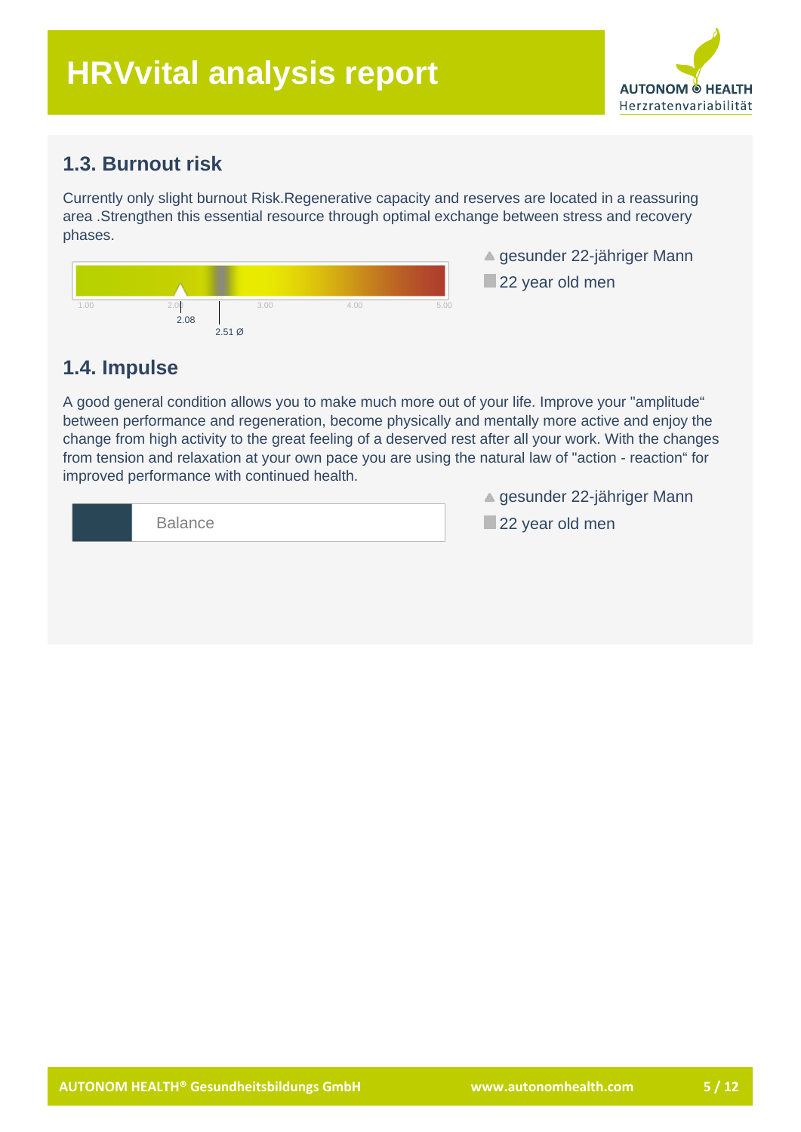

#### **1.3. Burnout risk**

Currently only slight burnout Risk.Regenerative capacity and reserves are located in a reassuring area .Strengthen this essential resource through optimal exchange between stress and recovery phases.



**▲ gesunder 22-jähriger Mann** 

22 year old men

#### **1.4. Impulse**

A good general condition allows you to make much more out of your life. Improve your "amplitude" between performance and regeneration, become physically and mentally more active and enjoy the change from high activity to the great feeling of a deserved rest after all your work. With the changes from tension and relaxation at your own pace you are using the natural law of "action - reaction" for improved performance with continued health.

| <b>Balance</b> |  |  |
|----------------|--|--|

**▲ gesunder 22-jähriger Mann** 

22 year old men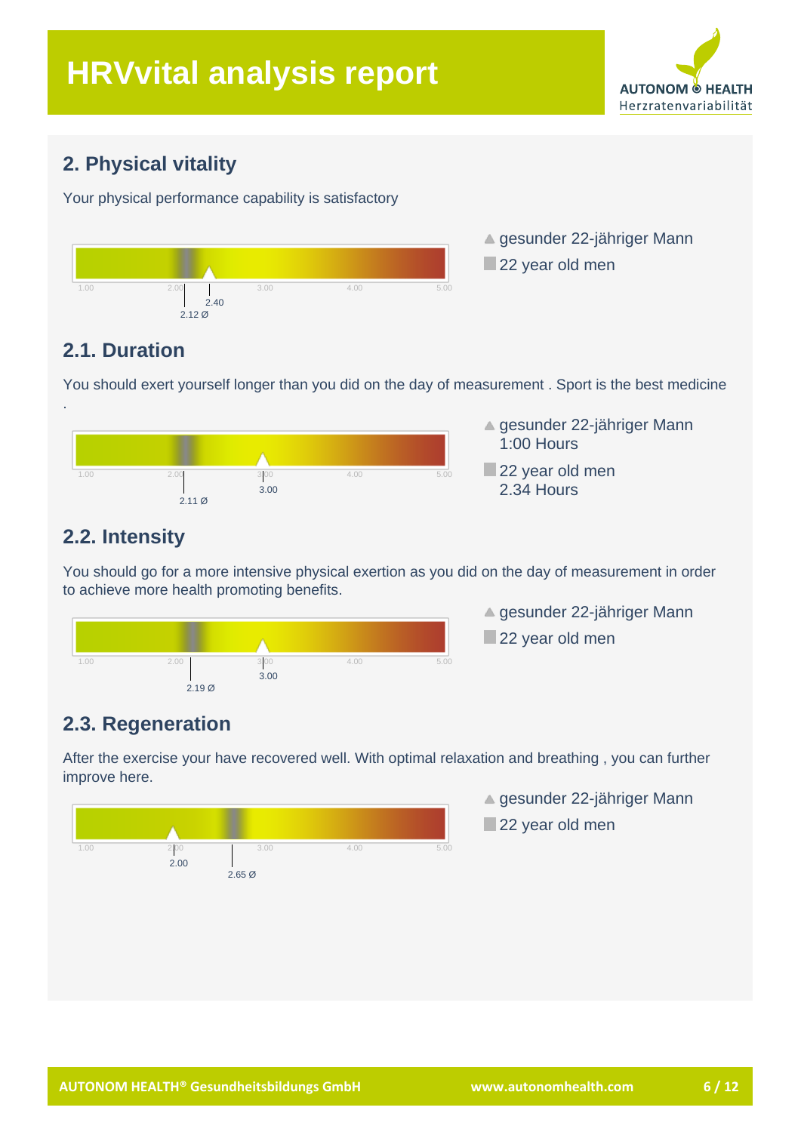

## **2. Physical vitality**

Your physical performance capability is satisfactory



▲ gesunder 22-jähriger Mann 22 year old men

## **2.1. Duration**

.

You should exert yourself longer than you did on the day of measurement . Sport is the best medicine



- **▲ gesunder 22-jähriger Mann** 1:00 Hours
- 22 year old men 2.34 Hours

## **2.2. Intensity**

You should go for a more intensive physical exertion as you did on the day of measurement in order to achieve more health promoting benefits.



▲ gesunder 22-jähriger Mann 22 year old men

# **2.3. Regeneration**

After the exercise your have recovered well. With optimal relaxation and breathing , you can further improve here.



**▲ gesunder 22-jähriger Mann** 22 year old men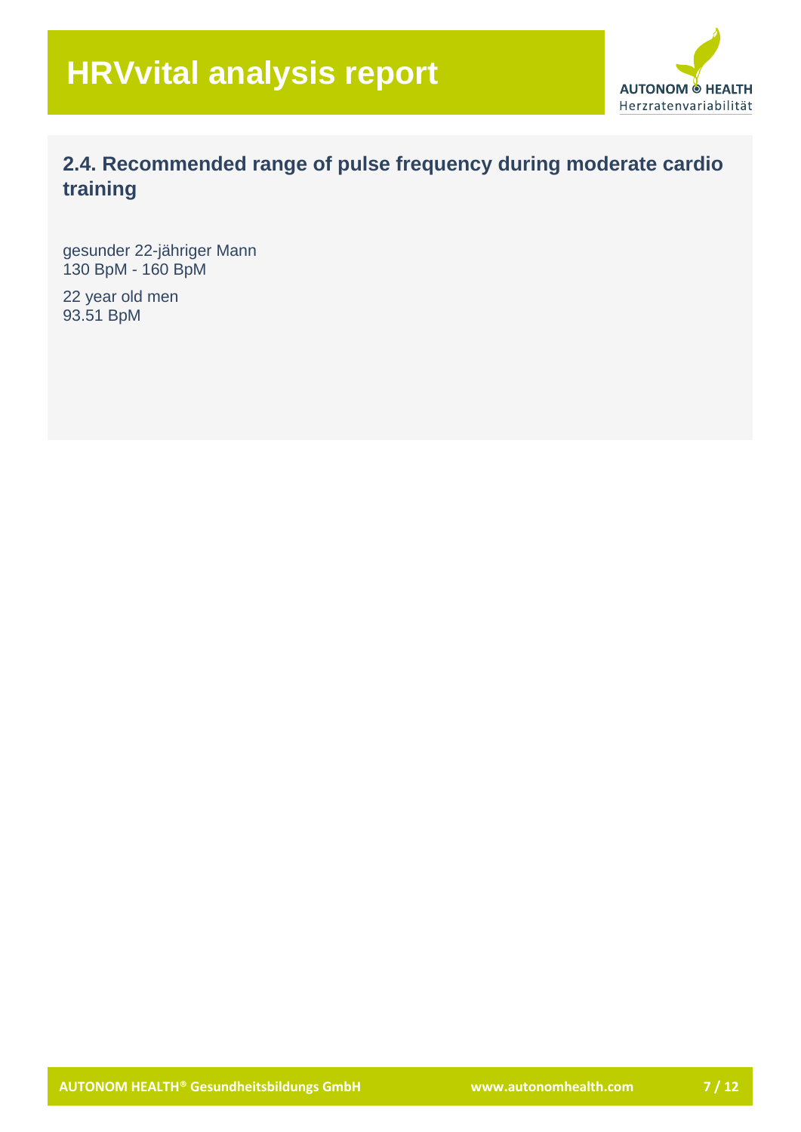

## **2.4. Recommended range of pulse frequency during moderate cardio training**

gesunder 22-jähriger Mann 130 BpM - 160 BpM

22 year old men 93.51 BpM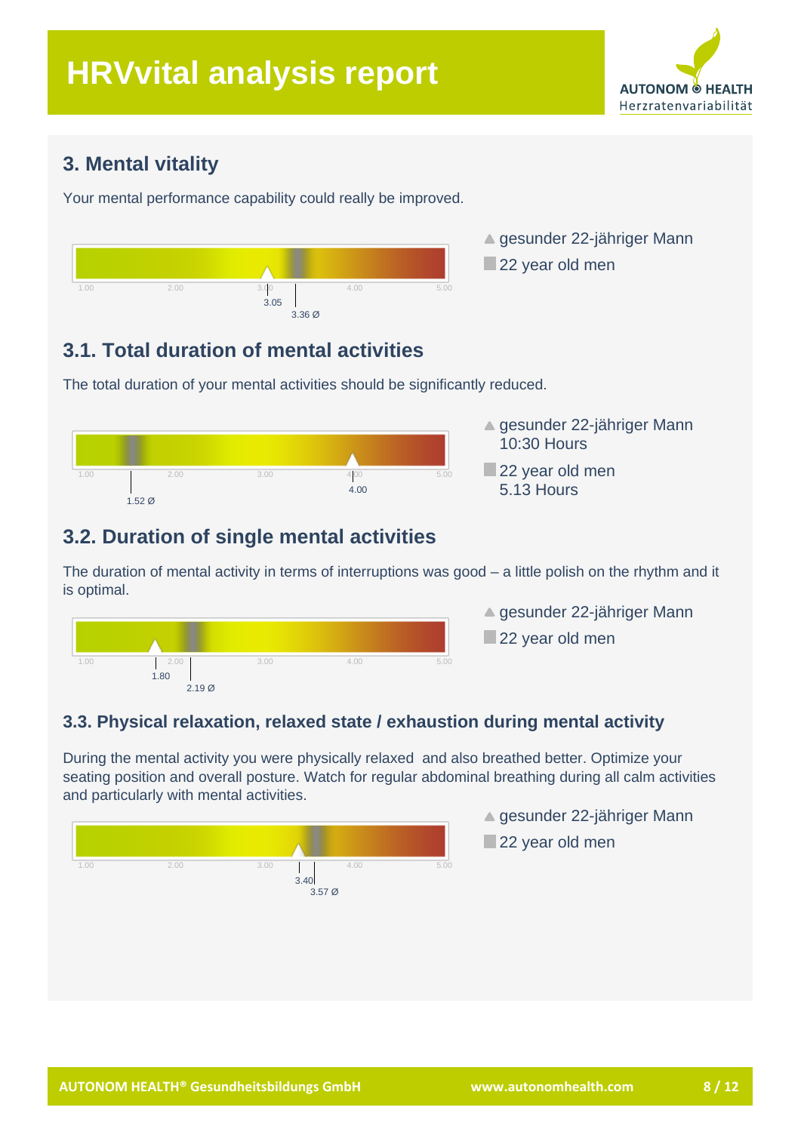

#### **3. Mental vitality**

Your mental performance capability could really be improved.



- ▲ gesunder 22-jähriger Mann 22 year old men
- 

## **3.1. Total duration of mental activities**

The total duration of your mental activities should be significantly reduced.



## **3.2. Duration of single mental activities**

The duration of mental activity in terms of interruptions was good – a little polish on the rhythm and it is optimal.



▲ gesunder 22-jähriger Mann 22 year old men

#### **3.3. Physical relaxation, relaxed state / exhaustion during mental activity**

During the mental activity you were physically relaxed and also breathed better. Optimize your seating position and overall posture. Watch for regular abdominal breathing during all calm activities and particularly with mental activities.



- ▲ gesunder 22-jähriger Mann
- 22 year old men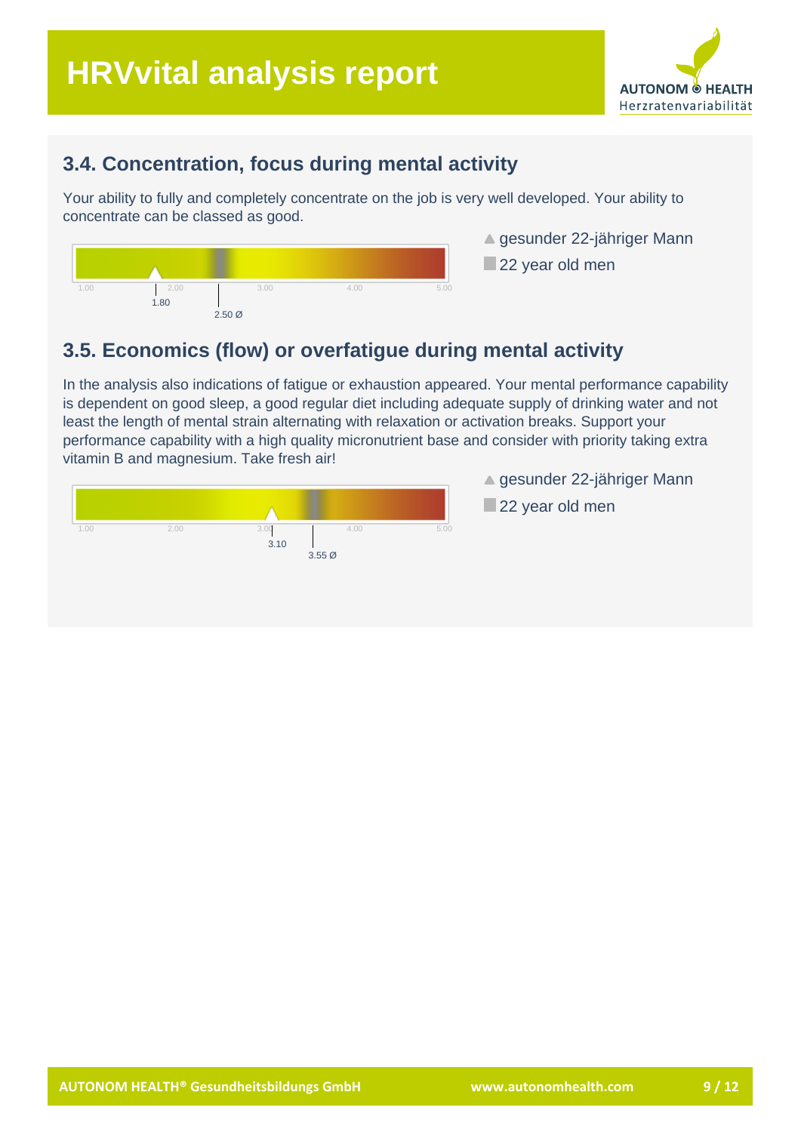

#### **3.4. Concentration, focus during mental activity**

Your ability to fully and completely concentrate on the job is very well developed. Your ability to concentrate can be classed as good.



▲ gesunder 22-jähriger Mann

22 year old men

#### **3.5. Economics (flow) or overfatigue during mental activity**

In the analysis also indications of fatigue or exhaustion appeared. Your mental performance capability is dependent on good sleep, a good regular diet including adequate supply of drinking water and not least the length of mental strain alternating with relaxation or activation breaks. Support your performance capability with a high quality micronutrient base and consider with priority taking extra vitamin B and magnesium. Take fresh air!



▲ gesunder 22-jähriger Mann

22 year old men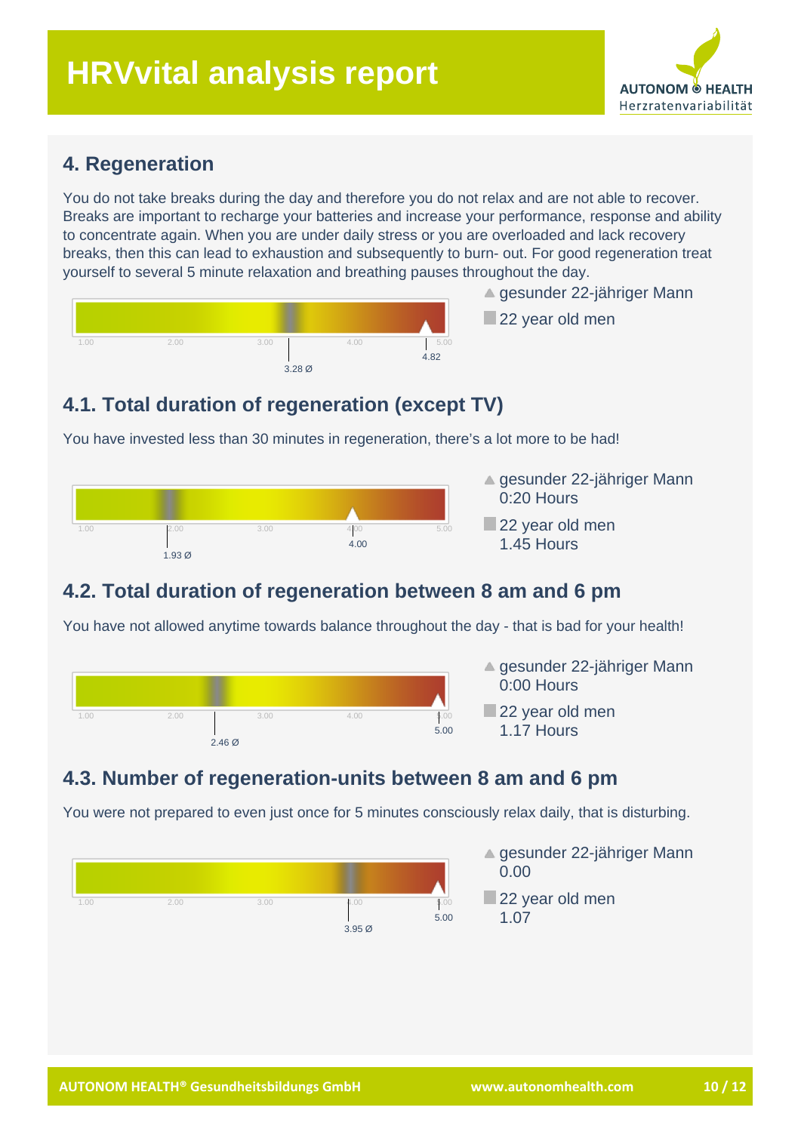

#### **4. Regeneration**

You do not take breaks during the day and therefore you do not relax and are not able to recover. Breaks are important to recharge your batteries and increase your performance, response and ability to concentrate again. When you are under daily stress or you are overloaded and lack recovery breaks, then this can lead to exhaustion and subsequently to burn- out. For good regeneration treat yourself to several 5 minute relaxation and breathing pauses throughout the day.



▲ gesunder 22-jähriger Mann

22 year old men

## **4.1. Total duration of regeneration (except TV)**

You have invested less than 30 minutes in regeneration, there's a lot more to be had!



- **▲ gesunder 22-jähriger Mann** 0:20 Hours
- 22 year old men 1.45 Hours

## **4.2. Total duration of regeneration between 8 am and 6 pm**

You have not allowed anytime towards balance throughout the day - that is bad for your health!



- ▲ gesunder 22-jähriger Mann 0:00 Hours
- 22 year old men 1.17 Hours

## **4.3. Number of regeneration-units between 8 am and 6 pm**

You were not prepared to even just once for 5 minutes consciously relax daily, that is disturbing.

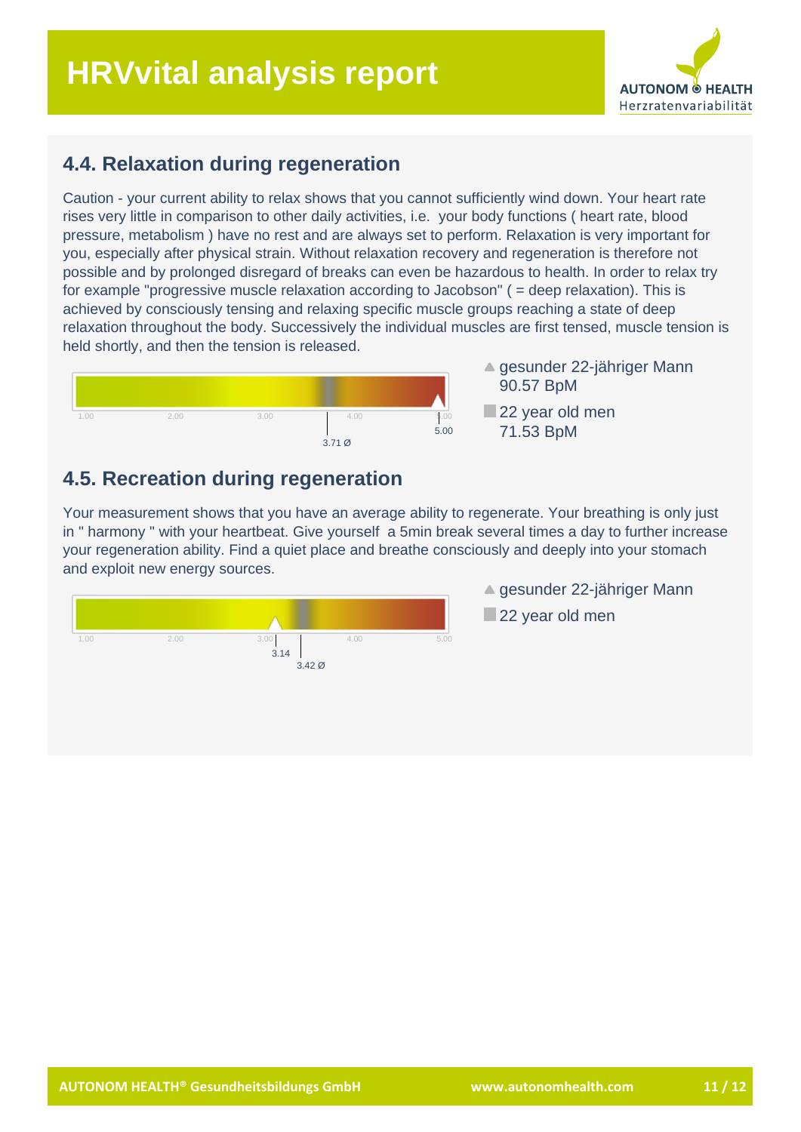# **HRVvital analysis report**



#### **4.4. Relaxation during regeneration**

Caution - your current ability to relax shows that you cannot sufficiently wind down. Your heart rate rises very little in comparison to other daily activities, i.e. your body functions ( heart rate, blood pressure, metabolism ) have no rest and are always set to perform. Relaxation is very important for you, especially after physical strain. Without relaxation recovery and regeneration is therefore not possible and by prolonged disregard of breaks can even be hazardous to health. In order to relax try for example "progressive muscle relaxation according to Jacobson" ( = deep relaxation). This is achieved by consciously tensing and relaxing specific muscle groups reaching a state of deep relaxation throughout the body. Successively the individual muscles are first tensed, muscle tension is held shortly, and then the tension is released.



▲ gesunder 22-jähriger Mann 90.57 BpM

22 year old men 71.53 BpM

#### **4.5. Recreation during regeneration**

Your measurement shows that you have an average ability to regenerate. Your breathing is only just in " harmony " with your heartbeat. Give yourself a 5min break several times a day to further increase your regeneration ability. Find a quiet place and breathe consciously and deeply into your stomach and exploit new energy sources.



**▲ gesunder 22-jähriger Mann** 

22 year old men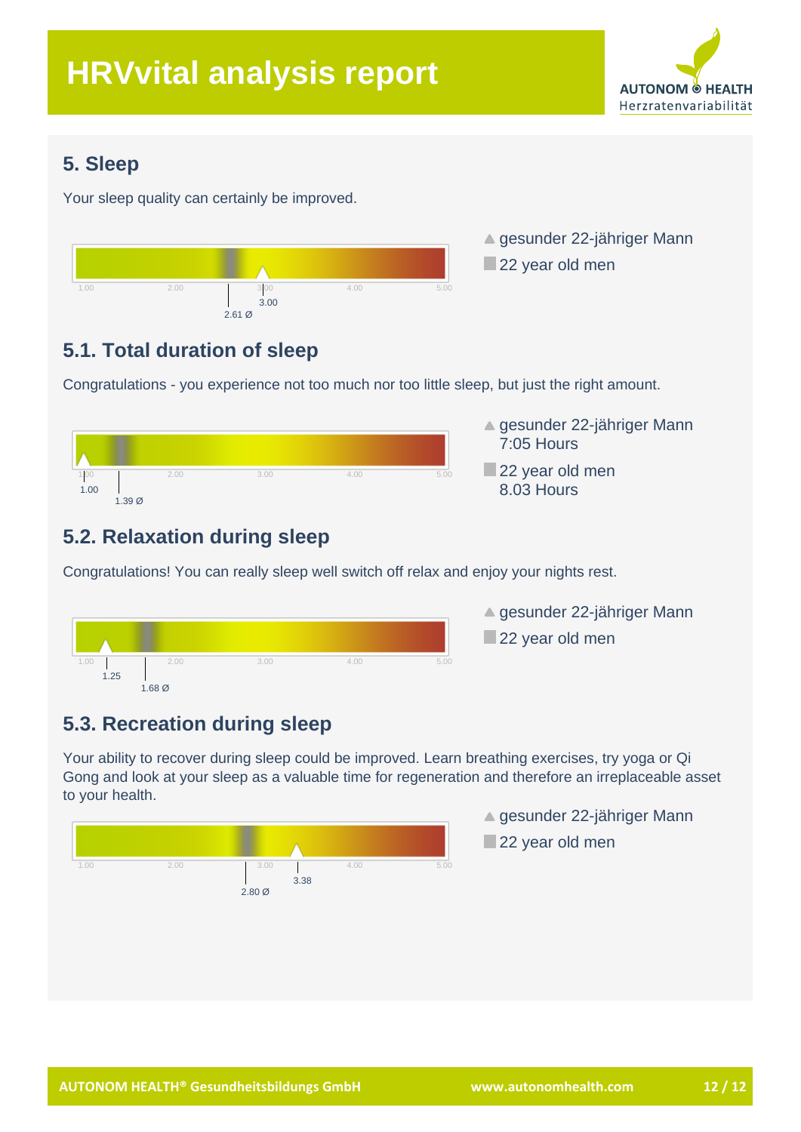

## **5. Sleep**

Your sleep quality can certainly be improved.



▲ gesunder 22-jähriger Mann 22 year old men

# **5.1. Total duration of sleep**

Congratulations - you experience not too much nor too little sleep, but just the right amount.



- **▲ gesunder 22-jähriger Mann** 7:05 Hours
- 22 year old men 8.03 Hours

# **5.2. Relaxation during sleep**

Congratulations! You can really sleep well switch off relax and enjoy your nights rest.



▲ gesunder 22-jähriger Mann 22 year old men

# **5.3. Recreation during sleep**

Your ability to recover during sleep could be improved. Learn breathing exercises, try yoga or Qi Gong and look at your sleep as a valuable time for regeneration and therefore an irreplaceable asset to your health.



- ▲ gesunder 22-jähriger Mann
- 22 year old men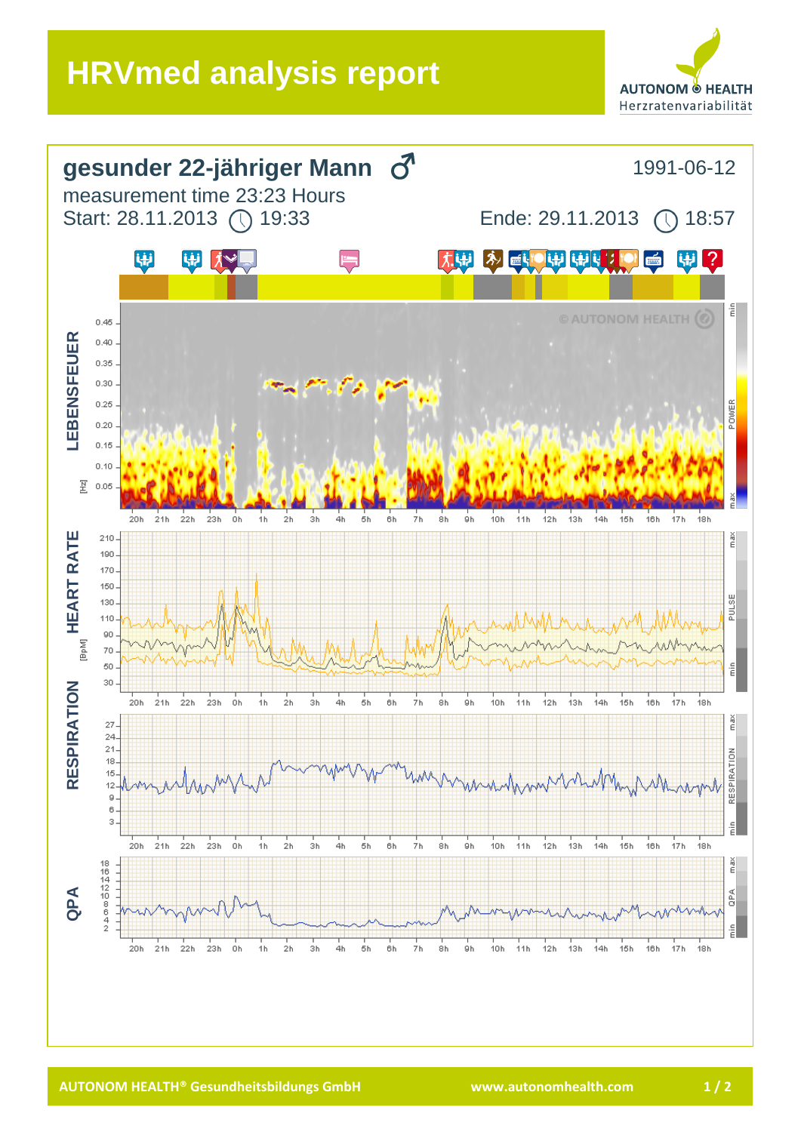